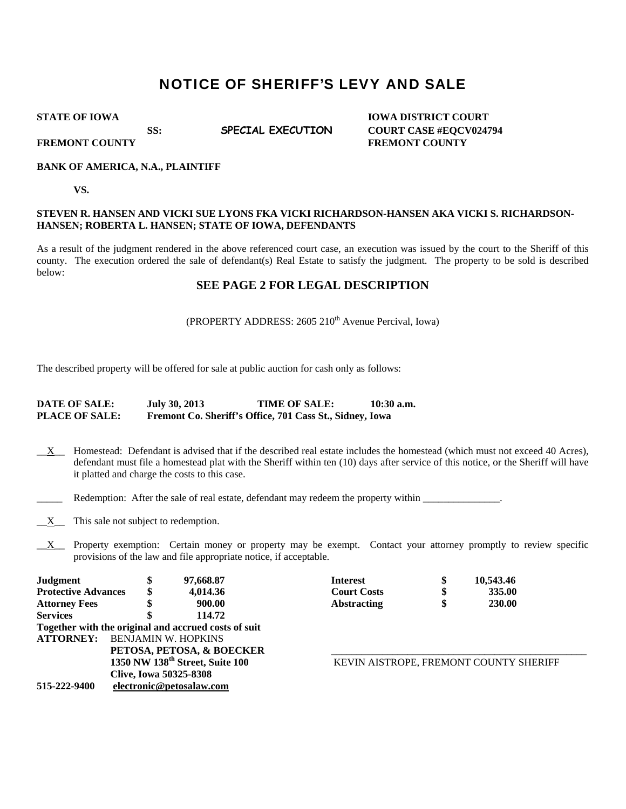# NOTICE OF SHERIFF'S LEVY AND SALE

**STATE OF IOWA** IOWA IOWA DISTRICT COURT SS: **SPECIAL EXECUTION COURT CASE #EQCV024794 FREMONT COUNTY SERVICE SERVICE SERVICE SERVICE SERVICE SERVICE SERVICE SERVICE SERVICE SERVICE SERVICE SERVICE SERVICE SERVICE SERVICE SERVICE SERVICE SERVICE SERVICE SERVICE SERVICE SERVICE SERVICE SERVICE SERVICE SERVIC** 

#### **BANK OF AMERICA, N.A., PLAINTIFF**

**VS.** 

### **STEVEN R. HANSEN AND VICKI SUE LYONS FKA VICKI RICHARDSON-HANSEN AKA VICKI S. RICHARDSON-HANSEN; ROBERTA L. HANSEN; STATE OF IOWA, DEFENDANTS**

As a result of the judgment rendered in the above referenced court case, an execution was issued by the court to the Sheriff of this county. The execution ordered the sale of defendant(s) Real Estate to satisfy the judgment. The property to be sold is described below:

## **SEE PAGE 2 FOR LEGAL DESCRIPTION**

## (PROPERTY ADDRESS: 2605 210<sup>th</sup> Avenue Percival, Iowa)

The described property will be offered for sale at public auction for cash only as follows:

#### **DATE OF SALE: July 30, 2013 TIME OF SALE: 10:30 a.m. PLACE OF SALE: Fremont Co. Sheriff's Office, 701 Cass St., Sidney, Iowa**

- \_\_X\_\_ Homestead: Defendant is advised that if the described real estate includes the homestead (which must not exceed 40 Acres), defendant must file a homestead plat with the Sheriff within ten (10) days after service of this notice, or the Sheriff will have it platted and charge the costs to this case.
- Redemption: After the sale of real estate, defendant may redeem the property within \_\_\_\_\_\_\_\_\_\_\_\_\_\_.
- $\underline{X}$  This sale not subject to redemption.
- $X$  Property exemption: Certain money or property may be exempt. Contact your attorney promptly to review specific provisions of the law and file appropriate notice, if acceptable.

| <b>Judgment</b>            | D                                           | 97,668.87                                            | <b>Interest</b>    |                                        | 10,543.46     |  |
|----------------------------|---------------------------------------------|------------------------------------------------------|--------------------|----------------------------------------|---------------|--|
| <b>Protective Advances</b> |                                             | 4.014.36                                             | <b>Court Costs</b> |                                        | 335.00        |  |
| <b>Attorney Fees</b>       |                                             | 900.00                                               | <b>Abstracting</b> |                                        | <b>230.00</b> |  |
| <b>Services</b>            |                                             | 114.72                                               |                    |                                        |               |  |
|                            |                                             | Together with the original and accrued costs of suit |                    |                                        |               |  |
| <b>ATTORNEY:</b>           | <b>BENJAMIN W. HOPKINS</b>                  |                                                      |                    |                                        |               |  |
|                            | PETOSA, PETOSA, & BOECKER                   |                                                      |                    |                                        |               |  |
|                            | 1350 NW 138 <sup>th</sup> Street, Suite 100 |                                                      |                    | KEVIN AISTROPE, FREMONT COUNTY SHERIFF |               |  |
|                            | <b>Clive, Iowa 50325-8308</b>               |                                                      |                    |                                        |               |  |
| 515-222-9400               | electronic@petosalaw.com                    |                                                      |                    |                                        |               |  |